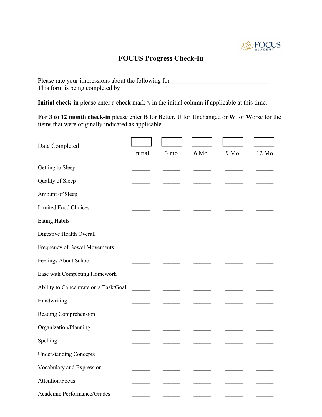

## **FOCUS Progress Check-In**

Please rate your impressions about the following for \_\_\_\_\_\_\_\_\_\_\_\_\_\_\_\_\_\_\_\_\_\_\_\_\_\_\_ This form is being completed by \_\_\_\_\_\_\_\_\_\_\_\_\_\_\_\_\_\_\_\_\_\_\_\_\_\_\_\_\_\_\_\_\_\_\_\_\_\_\_\_\_\_\_\_\_\_\_

**Initial check-in** please enter a check mark  $\sqrt{}$  in the initial column if applicable at this time.

**For 3 to 12 month check-in** please enter **B** for **B**etter, **U** for **U**nchanged or **W** for **W**orse for the items that were originally indicated as applicable.

| Date Completed                        |         |                |      |      |       |
|---------------------------------------|---------|----------------|------|------|-------|
|                                       | Initial | $3 \text{ mo}$ | 6 Mo | 9 Mo | 12 Mo |
| Getting to Sleep                      |         |                |      |      |       |
| Quality of Sleep                      |         |                |      |      |       |
| Amount of Sleep                       |         |                |      |      |       |
| <b>Limited Food Choices</b>           |         |                |      |      |       |
| <b>Eating Habits</b>                  |         |                |      |      |       |
| Digestive Health Overall              |         |                |      |      |       |
| Frequency of Bowel Movements          |         |                |      |      |       |
| Feelings About School                 |         |                |      |      |       |
| Ease with Completing Homework         |         |                |      |      |       |
| Ability to Concentrate on a Task/Goal |         |                |      |      |       |
| Handwriting                           |         |                |      |      |       |
| Reading Comprehension                 |         |                |      |      |       |
| Organization/Planning                 |         |                |      |      |       |
| Spelling                              |         |                |      |      |       |
| <b>Understanding Concepts</b>         |         |                |      |      |       |
| Vocabulary and Expression             |         |                |      |      |       |
| Attention/Focus                       |         |                |      |      |       |
| Academic Performance/Grades           |         |                |      |      |       |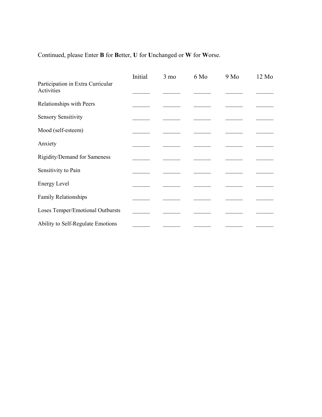Continued, please Enter **B** for **B**etter, **U** for **U**nchanged or**W** for **W**orse.

|                                                 | Initial | $3 \text{ mo}$ | 6 Mo | $9\text{ Mo}$ | $12 \text{ Mo}$ |  |
|-------------------------------------------------|---------|----------------|------|---------------|-----------------|--|
| Participation in Extra Curricular<br>Activities |         |                |      |               |                 |  |
| Relationships with Peers                        |         |                |      |               |                 |  |
| <b>Sensory Sensitivity</b>                      |         |                |      |               |                 |  |
| Mood (self-esteem)                              |         |                |      |               |                 |  |
| Anxiety                                         |         |                |      |               |                 |  |
| Rigidity/Demand for Sameness                    |         |                |      |               |                 |  |
| Sensitivity to Pain                             |         |                |      |               |                 |  |
| <b>Energy Level</b>                             |         |                |      |               |                 |  |
| Family Relationships                            |         |                |      |               |                 |  |
| Loses Temper/Emotional Outbursts                |         |                |      |               |                 |  |
| Ability to Self-Regulate Emotions               |         |                |      |               |                 |  |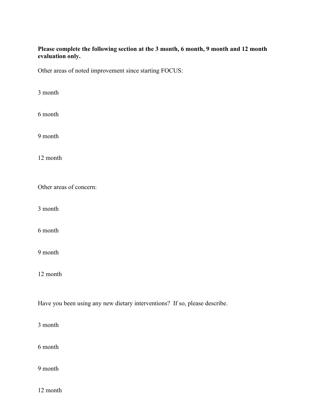## **Please complete the following section at the 3 month, 6 month, 9 month and 12 month evaluation only.**

Other areas of noted improvement since starting FOCUS:

month

month

month

month

Other areas of concern:

month

month

month

month

Have you been using any new dietary interventions? If so, please describe.

month

month

month

month